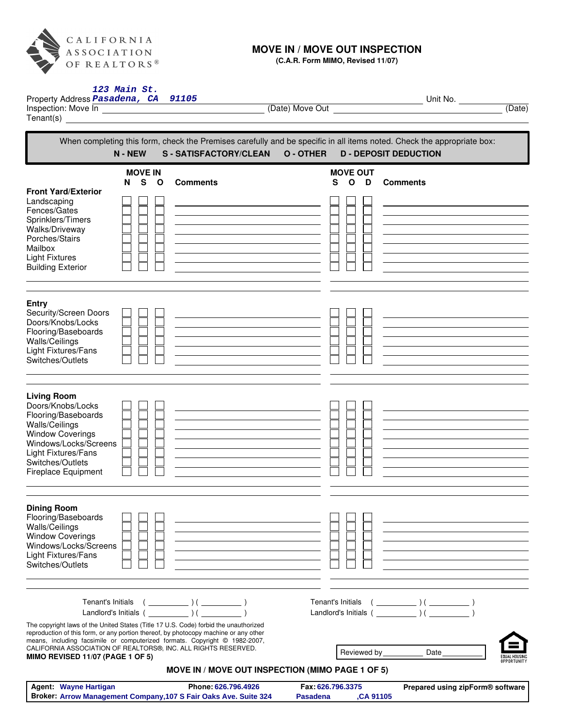

## **MOVE IN / MOVE OUT INSPECTION**

**(C.A.R. Form MIMO, Revised 11/07)**

| 123 Main St.<br>Property Address Pasadena, CA 91105                                                                                                                                                                                                                                                                                                                                                                |                                                                                                                  |                                                   | Unit No.<br>(Date)               |  |
|--------------------------------------------------------------------------------------------------------------------------------------------------------------------------------------------------------------------------------------------------------------------------------------------------------------------------------------------------------------------------------------------------------------------|------------------------------------------------------------------------------------------------------------------|---------------------------------------------------|----------------------------------|--|
| When completing this form, check the Premises carefully and be specific in all items noted. Check the appropriate box:<br>N - NEW<br><b>S-SATISFACTORY/CLEAN</b><br><b>O-OTHER</b><br><b>D - DEPOSIT DEDUCTION</b>                                                                                                                                                                                                 |                                                                                                                  |                                                   |                                  |  |
| <b>MOVE IN</b><br>S O<br>N<br><b>Front Yard/Exterior</b><br>Landscaping<br>Fences/Gates<br>Sprinklers/Timers<br>Walks/Driveway<br>Porches/Stairs<br>Mailbox<br><b>Light Fixtures</b><br><b>Building Exterior</b>                                                                                                                                                                                                   | <b>Comments</b>                                                                                                  | <b>MOVE OUT</b><br>S<br>$\mathsf{o}$<br>D         | <b>Comments</b>                  |  |
| Entry<br>Security/Screen Doors<br>Doors/Knobs/Locks<br>Flooring/Baseboards<br>Walls/Ceilings<br>Light Fixtures/Fans<br>Switches/Outlets                                                                                                                                                                                                                                                                            |                                                                                                                  |                                                   |                                  |  |
| <b>Living Room</b><br>Doors/Knobs/Locks<br>Flooring/Baseboards<br>Walls/Ceilings<br><b>Window Coverings</b><br>Windows/Locks/Screens<br>Light Fixtures/Fans<br>Switches/Outlets<br><b>Fireplace Equipment</b>                                                                                                                                                                                                      |                                                                                                                  |                                                   |                                  |  |
| <b>Dining Room</b><br>Flooring/Baseboards<br>Walls/Ceilings<br><b>Window Coverings</b><br>Windows/Locks/Screens<br>Light Fixtures/Fans<br>Switches/Outlets                                                                                                                                                                                                                                                         |                                                                                                                  |                                                   |                                  |  |
| Tenant's Initials<br>Landlord's Initials () ()<br>The copyright laws of the United States (Title 17 U.S. Code) forbid the unauthorized<br>reproduction of this form, or any portion thereof, by photocopy machine or any other<br>means, including facsimile or computerized formats. Copyright © 1982-2007,<br>CALIFORNIA ASSOCIATION OF REALTORS®, INC. ALL RIGHTS RESERVED.<br>MIMO REVISED 11/07 (PAGE 1 OF 5) | $(\underline{\hspace{1cm}})$ ( $\underline{\hspace{1cm}})$ )<br>MOVE IN / MOVE OUT INSPECTION (MIMO PAGE 1 OF 5) | Landlord's Initials () (<br>Reviewed by _________ | Date<br>OPPORTUNITY              |  |
| <b>Agent: Wayne Hartigan</b><br>Broker: Arrow Management Company, 107 S Fair Oaks Ave. Suite 324                                                                                                                                                                                                                                                                                                                   | Phone: 626.796.4926                                                                                              | Fax: 626.796.3375<br><b>Pasadena</b><br>,CA 91105 | Prepared using zipForm® software |  |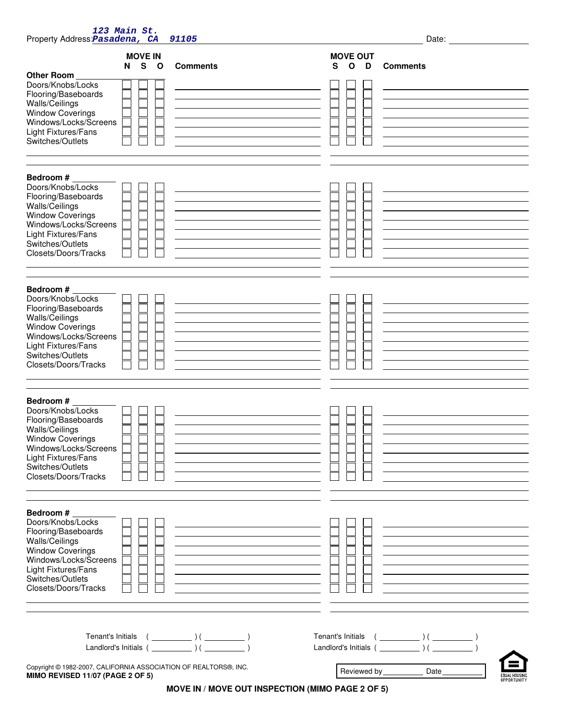| 123 Main St.<br>Property Address: Pasadena, CA                                                                                                                                                        | 91105                                                                                                                                                                                                                                                                                                                                                                                                                                                                                                         |                                                              | Date:                                                                                                                                                                                                     |
|-------------------------------------------------------------------------------------------------------------------------------------------------------------------------------------------------------|---------------------------------------------------------------------------------------------------------------------------------------------------------------------------------------------------------------------------------------------------------------------------------------------------------------------------------------------------------------------------------------------------------------------------------------------------------------------------------------------------------------|--------------------------------------------------------------|-----------------------------------------------------------------------------------------------------------------------------------------------------------------------------------------------------------|
| <b>MOVE IN</b><br>S O<br>N<br>Other Room<br>Doors/Knobs/Locks<br>Flooring/Baseboards<br>Walls/Ceilings<br><b>Window Coverings</b><br>Windows/Locks/Screens<br>Light Fixtures/Fans<br>Switches/Outlets | <b>Comments</b>                                                                                                                                                                                                                                                                                                                                                                                                                                                                                               | <b>MOVE OUT</b><br>S<br>$\mathbf{o}$<br>D<br><b>Comments</b> |                                                                                                                                                                                                           |
| Bedroom #<br>Doors/Knobs/Locks<br>Flooring/Baseboards<br>Walls/Ceilings<br><b>Window Coverings</b><br>Windows/Locks/Screens<br>Light Fixtures/Fans<br>Switches/Outlets<br>Closets/Doors/Tracks        |                                                                                                                                                                                                                                                                                                                                                                                                                                                                                                               |                                                              |                                                                                                                                                                                                           |
| Bedroom #<br>Doors/Knobs/Locks<br>Flooring/Baseboards<br>Walls/Ceilings<br><b>Window Coverings</b><br>Windows/Locks/Screens<br>Light Fixtures/Fans<br>Switches/Outlets<br>Closets/Doors/Tracks        |                                                                                                                                                                                                                                                                                                                                                                                                                                                                                                               |                                                              |                                                                                                                                                                                                           |
| Bedroom #<br>Doors/Knobs/Locks<br>Flooring/Baseboards<br>Walls/Ceilings<br><b>Window Coverings</b><br>Windows/Locks/Screens<br>Light Fixtures/Fans<br>Switches/Outlets<br>Closets/Doors/Tracks        |                                                                                                                                                                                                                                                                                                                                                                                                                                                                                                               |                                                              | the contract of the contract of the contract of the contract of the contract of                                                                                                                           |
| Bedroom #<br>Doors/Knobs/Locks<br>Flooring/Baseboards<br>Walls/Ceilings<br><b>Window Coverings</b><br>Windows/Locks/Screens<br>Light Fixtures/Fans<br>Switches/Outlets<br>Closets/Doors/Tracks        | the control of the control of the control of the control of the control of the control of<br><u> 1989 - Johann Stoff, Amerikaansk politiker († 1908)</u><br><u> 1989 - Johann Barn, amerikansk politiker (</u><br><u> 1989 - Johann Barbara, martxa alemaniar arg</u>                                                                                                                                                                                                                                         |                                                              | <u> 1989 - Johann Stoff, deutscher Stoffen und der Stoffen und der Stoffen und der Stoffen und der Stoffen und der</u><br>the contract of the contract of the contract of the contract of the contract of |
| Copyright © 1982-2007, CALIFORNIA ASSOCIATION OF REALTORS®, INC.<br>MIMO REVISED 11/07 (PAGE 2 OF 5)                                                                                                  | $\begin{tabular}{l c c c} \hline \texttt{Tenant's Initials} & & & & \\ \hline \end{tabular} \begin{tabular}{c} \hline \texttt{L} & & \end{tabular} \begin{tabular}{c} \hline \texttt{L} & & \end{tabular} \end{tabular} \begin{tabular}{c} \hline \texttt{L} & & \end{tabular} \begin{tabular}{c} \hline \texttt{L} & & \end{tabular} \end{tabular} \begin{tabular}{c} \hline \texttt{L} & & \end{tabular} \end{tabular} \begin{tabular}{c} \hline \texttt{L} & & \end{tabular} \end{tabular} \begin{tabular$ | Reviewed by Date                                             | FOUAL HOUSING<br>NPPNRTIINITY                                                                                                                                                                             |

**MOVE IN / MOVE OUT INSPECTION (MIMO PAGE 2 OF 5)**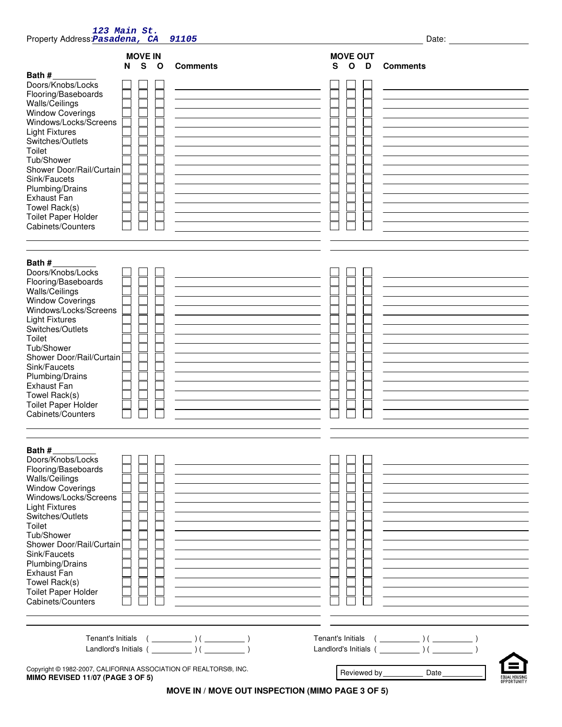| 123 Main St.<br>Property Address: Pasadena, CA<br>Date:<br>91105                                                                                                                                                                                                                                                                                       |  |                 |                                           |                 |                   |                                                                                 |
|--------------------------------------------------------------------------------------------------------------------------------------------------------------------------------------------------------------------------------------------------------------------------------------------------------------------------------------------------------|--|-----------------|-------------------------------------------|-----------------|-------------------|---------------------------------------------------------------------------------|
| <b>MOVE IN</b><br>$\mathbf{s}$<br>$\mathbf{o}$<br>N                                                                                                                                                                                                                                                                                                    |  | <b>Comments</b> | <b>MOVE OUT</b><br>D<br>S<br>$\mathbf{o}$ | <b>Comments</b> |                   |                                                                                 |
| Bath#<br>Doors/Knobs/Locks<br>Flooring/Baseboards<br>Walls/Ceilings<br><b>Window Coverings</b><br>Windows/Locks/Screens<br><b>Light Fixtures</b><br>Switches/Outlets<br>Toilet<br>Tub/Shower<br>Shower Door/Rail/Curtain<br>Sink/Faucets<br>Plumbing/Drains<br><b>Exhaust Fan</b><br>Towel Rack(s)<br><b>Toilet Paper Holder</b><br>Cabinets/Counters  |  |                 |                                           |                 |                   |                                                                                 |
| Bath #<br>Doors/Knobs/Locks<br>Flooring/Baseboards<br>Walls/Ceilings<br><b>Window Coverings</b><br>Windows/Locks/Screens<br><b>Light Fixtures</b><br>Switches/Outlets<br>Toilet<br>Tub/Shower<br>Shower Door/Rail/Curtain<br>Sink/Faucets<br>Plumbing/Drains<br>Exhaust Fan<br>Towel Rack(s)<br><b>Toilet Paper Holder</b><br>Cabinets/Counters        |  |                 |                                           |                 |                   |                                                                                 |
| Bath #<br>Doors/Knobs/Locks<br>Flooring/Baseboards<br>Walls/Ceilings<br><b>Window Coverings</b><br>Windows/Locks/Screens<br><b>Light Fixtures</b><br>Switches/Outlets<br>Toilet<br>Tub/Shower<br>Shower Door/Rail/Curtain<br>Sink/Faucets<br>Plumbing/Drains<br><b>Exhaust Fan</b><br>Towel Rack(s)<br><b>Toilet Paper Holder</b><br>Cabinets/Counters |  |                 |                                           |                 |                   |                                                                                 |
|                                                                                                                                                                                                                                                                                                                                                        |  |                 |                                           |                 | Tenant's Initials | $(\begin{array}{c} \begin{array}{ccc} \hline \end{array} & \hline \end{array})$ |
| Copyright @ 1982-2007, CALIFORNIA ASSOCIATION OF REALTORS®, INC.<br>MIMO REVISED 11/07 (PAGE 3 OF 5)                                                                                                                                                                                                                                                   |  |                 |                                           |                 | Reviewed by_      | Date<br>OPPORTUNITY                                                             |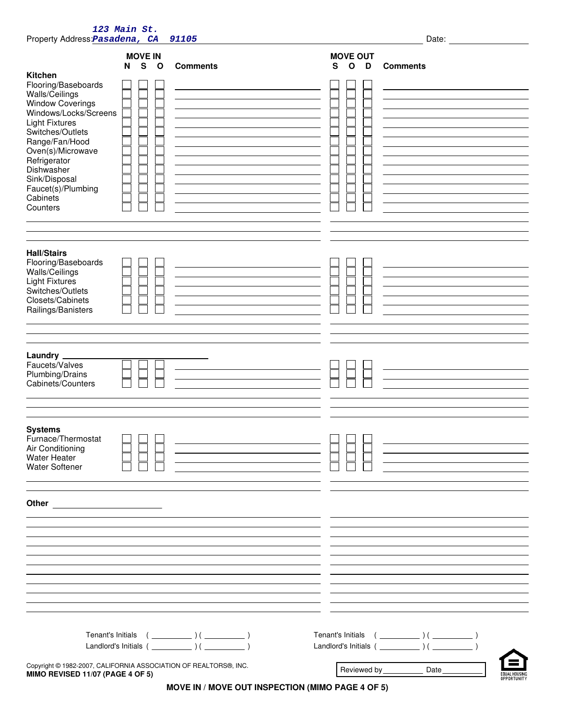| Property Address: Pasadena, CA                                                                                                                                                                                                                                                        | 123 Main St.               | 91105                                                      |                                           | Date:                                                                                                                |
|---------------------------------------------------------------------------------------------------------------------------------------------------------------------------------------------------------------------------------------------------------------------------------------|----------------------------|------------------------------------------------------------|-------------------------------------------|----------------------------------------------------------------------------------------------------------------------|
| Kitchen<br>Flooring/Baseboards<br>Walls/Ceilings<br><b>Window Coverings</b><br>Windows/Locks/Screens<br><b>Light Fixtures</b><br>Switches/Outlets<br>Range/Fan/Hood<br>Oven(s)/Microwave<br>Refrigerator<br>Dishwasher<br>Sink/Disposal<br>Faucet(s)/Plumbing<br>Cabinets<br>Counters | <b>MOVE IN</b><br>S O<br>N | <b>Comments</b>                                            | <b>MOVE OUT</b><br>S<br>$\mathbf{o}$<br>D | <b>Comments</b>                                                                                                      |
| <b>Hall/Stairs</b><br>Flooring/Baseboards<br>Walls/Ceilings<br><b>Light Fixtures</b><br>Switches/Outlets<br>Closets/Cabinets<br>Railings/Banisters                                                                                                                                    |                            |                                                            |                                           |                                                                                                                      |
| Laundry _<br>Faucets/Valves<br>Plumbing/Drains<br>Cabinets/Counters                                                                                                                                                                                                                   |                            | <u> 1980 - Johann Barn, fransk politik (d. 1980)</u>       |                                           |                                                                                                                      |
| <b>Systems</b><br>Furnace/Thermostat<br>Air Conditioning<br><b>Water Heater</b><br><b>Water Softener</b>                                                                                                                                                                              | — — —                      | <u> 1989 - Johann Stein, mars an de Frankrik (f. 1989)</u> | $\Box$ $\Box$ $\Box$                      | <u> 1989 - Johann Stein, mars an deutscher Stein und der Stein und der Stein und der Stein und der Stein und der</u> |
|                                                                                                                                                                                                                                                                                       |                            |                                                            |                                           |                                                                                                                      |
| Copyright @ 1982-2007, CALIFORNIA ASSOCIATION OF REALTORS®, INC.<br><b>MIMO REVISED 11/07 (PAGE 4 OF 5)</b>                                                                                                                                                                           |                            |                                                            |                                           | Date_<br>NPPORTUNITY                                                                                                 |